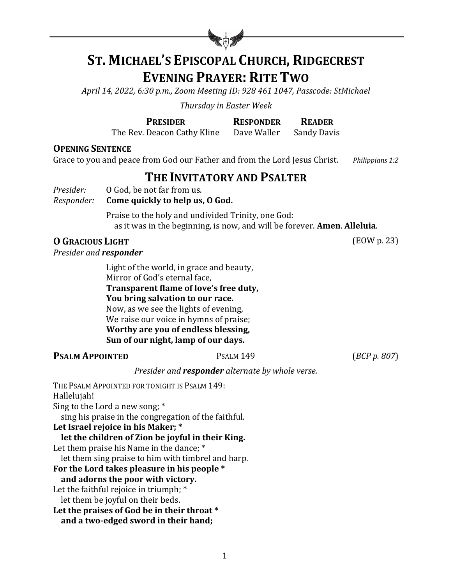

# **ST. MICHAEL'S EPISCOPAL CHURCH, RIDGECREST EVENING PRAYER: RITE TWO**

*April 14, 2022, 6:30 p.m., Zoom Meeting ID: 928 461 1047, Passcode: StMichael*

*Thursday in Easter Week*

**PRESIDER RESPONDER READER**

The Rev. Deacon Cathy Kline Dave Waller Sandy Davis

**OPENING SENTENCE** 

Grace to you and peace from God our Father and from the Lord Jesus Christ. *Philippians 1:2* 

## **THE INVITATORY AND PSALTER**

*Presider:* 0 God, be not far from us.

#### *Responder:* **Come quickly to help us, O God.**

Praise to the holy and undivided Trinity, one God: as it was in the beginning, is now, and will be forever. **Amen. Alleluia.** 

#### **O GRACIOUS** LIGHT (EOW p. 23)

*Presider and responder* 

Light of the world, in grace and beauty, Mirror of God's eternal face, **Transparent flame of love's free duty, You bring salvation to our race.** Now, as we see the lights of evening, We raise our voice in hymns of praise; **Worthy are you of endless blessing, Sun of our night, lamp of our days.**

#### **PSALM APPOINTED** PSALM 149 (*BCP p. 807*)

#### *Presider and responder alternate by whole verse.*

THE PSALM APPOINTED FOR TONIGHT IS PSALM 149: Hallelujah! Sing to the Lord a new song;  $*$ sing his praise in the congregation of the faithful. Let Israel rejoice in his Maker; \* let the children of Zion be joyful in their King. Let them praise his Name in the dance;  $*$ let them sing praise to him with timbrel and harp. For the Lord takes pleasure in his people \* and adorns the poor with victory. Let the faithful rejoice in triumph;  $*$ let them be joyful on their beds. Let the praises of God be in their throat \* and a two-edged sword in their hand;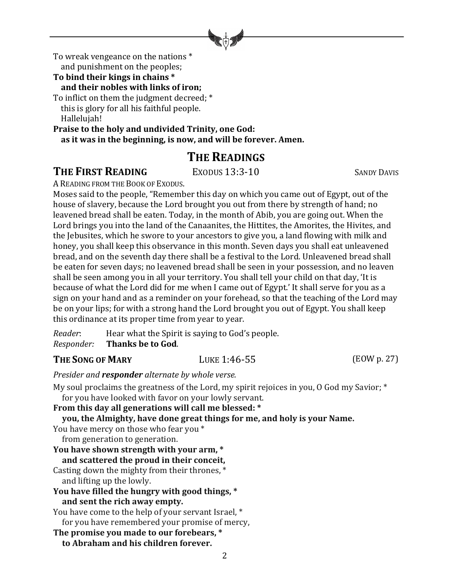

To wreak vengeance on the nations  $*$ and punishment on the peoples;

#### To bind their kings in chains \*

and their nobles with links of iron;

To inflict on them the judgment decreed; \* this is glory for all his faithful people. Hallelujah!

Praise to the holy and undivided Trinity, one God: as it was in the beginning, is now, and will be forever. Amen.

## **THE READINGS**

#### **THE FIRST READING** EXODUS 13:3-10 SANDY DAVIS

A READING FROM THE BOOK OF EXODUS.

Moses said to the people, "Remember this day on which you came out of Egypt, out of the house of slavery, because the Lord brought you out from there by strength of hand; no leavened bread shall be eaten. Today, in the month of Abib, you are going out. When the Lord brings you into the land of the Canaanites, the Hittites, the Amorites, the Hivites, and the Jebusites, which he swore to your ancestors to give you, a land flowing with milk and honey, you shall keep this observance in this month. Seven days you shall eat unleavened bread, and on the seventh day there shall be a festival to the Lord. Unleavened bread shall be eaten for seven days; no leavened bread shall be seen in your possession, and no leaven shall be seen among you in all your territory. You shall tell your child on that day, 'It is because of what the Lord did for me when I came out of Egypt.' It shall serve for you as a sign on your hand and as a reminder on your forehead, so that the teaching of the Lord may be on your lips; for with a strong hand the Lord brought you out of Egypt. You shall keep this ordinance at its proper time from year to year.

*Reader*: Hear what the Spirit is saying to God's people. *Responder:* Thanks be to God.

#### **THE SONG OF MARY LUKE 1:46-55** (EOW p. 27)

*Presider and responder alternate by whole verse.* 

My soul proclaims the greatness of the Lord, my spirit rejoices in you, O God my Savior;  $*$ 

for you have looked with favor on your lowly servant. **From this day all generations will call me blessed: \* you, the Almighty, have done great things for me, and holy is your Name.** You have mercy on those who fear you \* from generation to generation. You have shown strength with your arm,  $*$  **and scattered the proud in their conceit,** Casting down the mighty from their thrones,  $*$ and lifting up the lowly. **You have filled the hungry with good things, \* and sent the rich away empty.** You have come to the help of your servant Israel, \* for you have remembered your promise of mercy, **The promise you made to our forebears, \* to Abraham and his children forever.**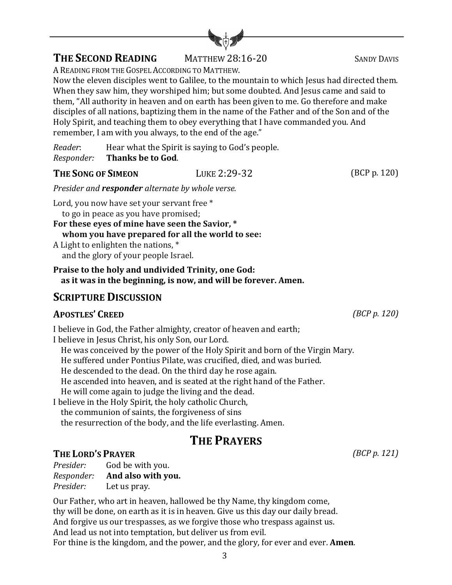## **THE SECOND READING** MATTHEW 28:16-20 SANDY DAVIS

A READING FROM THE GOSPEL ACCORDING TO MATTHEW.

Now the eleven disciples went to Galilee, to the mountain to which Jesus had directed them. When they saw him, they worshiped him; but some doubted. And Jesus came and said to them, "All authority in heaven and on earth has been given to me. Go therefore and make disciples of all nations, baptizing them in the name of the Father and of the Son and of the Holy Spirit, and teaching them to obey everything that I have commanded you. And remember, I am with you always, to the end of the age."

*Reader*: Hear what the Spirit is saying to God's people. *Responder:* **Thanks be to God**.

**THE SONG OF SIMEON** LUKE 2:29-32 (BCP p. 120)

*Presider and responder alternate by whole verse.* 

Lord, you now have set your servant free \* to go in peace as you have promised;

For these eves of mine have seen the Savior, \* **whom you have prepared for all the world to see:**

A Light to enlighten the nations,  $*$ and the glory of your people Israel.

**Praise to the holy and undivided Trinity, one God:** as it was in the beginning, is now, and will be forever. Amen.

## **SCRIPTURE DISCUSSION**

#### **APOSTLES' CREED** *(BCP p. 120)*

I believe in God, the Father almighty, creator of heaven and earth; I believe in Jesus Christ, his only Son, our Lord. He was conceived by the power of the Holy Spirit and born of the Virgin Mary. He suffered under Pontius Pilate, was crucified, died, and was buried. He descended to the dead. On the third day he rose again. He ascended into heaven, and is seated at the right hand of the Father. He will come again to judge the living and the dead. I believe in the Holy Spirit, the holy catholic Church, the communion of saints, the forgiveness of sins the resurrection of the body, and the life everlasting. Amen.

# **THE PRAYERS**

## **THE LORD'S PRAYER** *(BCP p. 121)*

*Presider:* God be with you. *Responder:* **And also with you.** *Presider:* Let us pray.

Our Father, who art in heaven, hallowed be thy Name, thy kingdom come, thy will be done, on earth as it is in heaven. Give us this day our daily bread. And forgive us our trespasses, as we forgive those who trespass against us. And lead us not into temptation, but deliver us from evil. For thine is the kingdom, and the power, and the glory, for ever and ever. **Amen**.

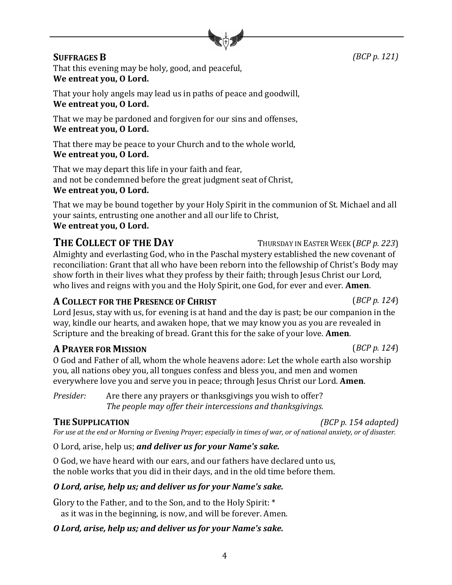4

**SUFFRAGES B** *(BCP p. 121)* 

That this evening may be holy, good, and peaceful, We entreat you, O Lord.

That your holy angels may lead us in paths of peace and goodwill, We entreat you, O Lord.

That we may be pardoned and forgiven for our sins and offenses, We entreat you, O Lord.

That there may be peace to your Church and to the whole world, We entreat you, O Lord.

That we may depart this life in your faith and fear, and not be condemned before the great judgment seat of Christ, We entreat you, O Lord.

That we may be bound together by your Holy Spirit in the communion of St. Michael and all your saints, entrusting one another and all our life to Christ,

## We entreat you, O Lord.

**THE COLLECT OF THE DAY** THURSDAY IN EASTER WEEK (*BCP p. 223*) Almighty and everlasting God, who in the Paschal mystery established the new covenant of reconciliation: Grant that all who have been reborn into the fellowship of Christ's Body may show forth in their lives what they profess by their faith; through Jesus Christ our Lord, who lives and reigns with you and the Holy Spirit, one God, for ever and ever. **Amen**.

#### **A COLLECT** FOR THE PRESENCE OF **CHRIST** (*BCP p.* 124)

Lord Jesus, stay with us, for evening is at hand and the day is past; be our companion in the way, kindle our hearts, and awaken hope, that we may know you as you are revealed in Scripture and the breaking of bread. Grant this for the sake of your love. **Amen**.

## **A PRAYER FOR MISSION** (*BCP p.* 124)

O God and Father of all, whom the whole heavens adore: Let the whole earth also worship you, all nations obey you, all tongues confess and bless you, and men and women everywhere love you and serve you in peace; through Jesus Christ our Lord. **Amen**.

*Presider:* Are there any prayers or thanksgivings you wish to offer? *The people may offer their intercessions and thanksgivings.* 

## **THE SUPPLICATION** *(BCP p. 154 adapted)*

*For* use at the end or Morning or Evening Prayer; especially in times of war, or of national anxiety, or of disaster.

O Lord, arise, help us; *and deliver us for your Name's sake.* 

O God, we have heard with our ears, and our fathers have declared unto us, the noble works that you did in their days, and in the old time before them.

#### *O Lord, arise, help us; and deliver us for your Name's sake.*

Glory to the Father, and to the Son, and to the Holy Spirit: \* as it was in the beginning, is now, and will be forever. Amen.

#### *O Lord, arise, help us; and deliver us for your Name's sake.*